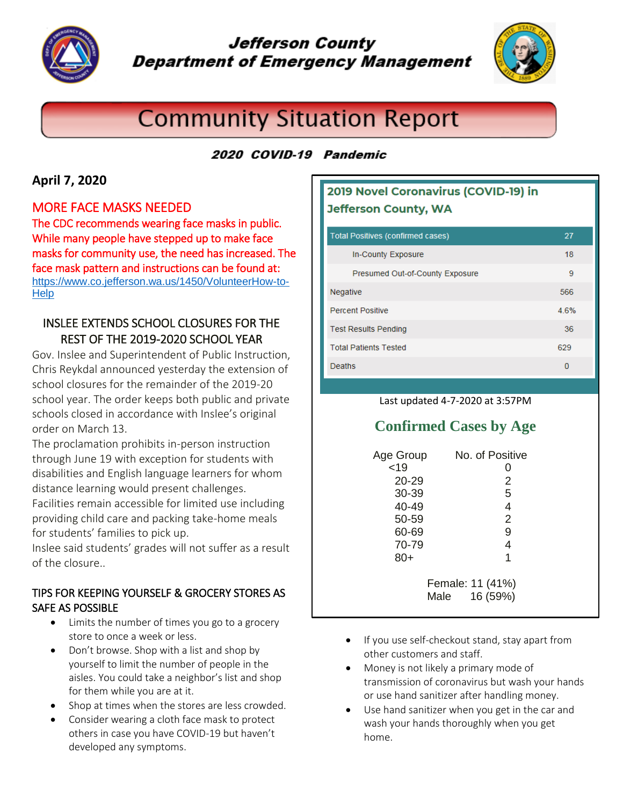

## **Jefferson County Department of Emergency Management**



# **Community Situation Report**

### 2020 COVID-19 Pandemic

### **April 7, 2020**

#### MORE FACE MASKS NEEDED

The CDC recommends wearing face masks in public. While many people have stepped up to make face masks for community use, the need has increased. The face mask pattern and instructions can be found at: [https://www.co.jefferson.wa.us/1450/VolunteerHow-to-](https://www.co.jefferson.wa.us/1450/VolunteerHow-to-Help)**[Help](https://www.co.jefferson.wa.us/1450/VolunteerHow-to-Help)** 

### INSLEE EXTENDS SCHOOL CLOSURES FOR THE REST OF THE 2019-2020 SCHOOL YEAR

Gov. Inslee and Superintendent of Public Instruction, Chris Reykdal announced yesterday the extension of school closures for the remainder of the 2019-20 school year. The order keeps both public and private schools closed in accordance with Inslee's original order on March 13.

The proclamation prohibits in-person instruction through June 19 with exception for students with disabilities and English language learners for whom distance learning would present challenges. Facilities remain accessible for limited use including providing child care and packing take-home meals

for students' families to pick up.

Inslee said students' grades will not suffer as a result of the closure..

#### TIPS FOR KEEPING YOURSELF & GROCERY STORES AS SAFE AS POSSIBLE

- Limits the number of times you go to a grocery store to once a week or less.
- Don't browse. Shop with a list and shop by yourself to limit the number of people in the aisles. You could take a neighbor's list and shop for them while you are at it.
- Shop at times when the stores are less crowded.
- Consider wearing a cloth face mask to protect others in case you have COVID-19 but haven't developed any symptoms.

### 2019 Novel Coronavirus (COVID-19) in **Jefferson County, WA**

| <b>Total Positives (confirmed cases)</b> | 27   |
|------------------------------------------|------|
| In-County Exposure                       | 18   |
| Presumed Out-of-County Exposure          | 9    |
| <b>Negative</b>                          | 566  |
| <b>Percent Positive</b>                  | 4.6% |
| <b>Test Results Pending</b>              | 36   |
| <b>Total Patients Tested</b>             | 629  |
| Deaths                                   | 0    |

#### Last updated 4-7-2020 at 3:57PM

### **Confirmed Cases by Age**

| Age Group | No. of Positive                      |
|-----------|--------------------------------------|
| < 19      | 0                                    |
| $20 - 29$ | 2                                    |
| 30-39     | 5                                    |
| 40-49     | 4                                    |
| 50-59     | $\overline{2}$                       |
| 60-69     | 9                                    |
| 70-79     | 4                                    |
| $80+$     | 1                                    |
|           | Female: 11 (41%)<br>16 (59%)<br>Male |

- If you use self-checkout stand, stay apart from other customers and staff.
- Money is not likely a primary mode of transmission of coronavirus but wash your hands or use hand sanitizer after handling money.
- Use hand sanitizer when you get in the car and wash your hands thoroughly when you get home.